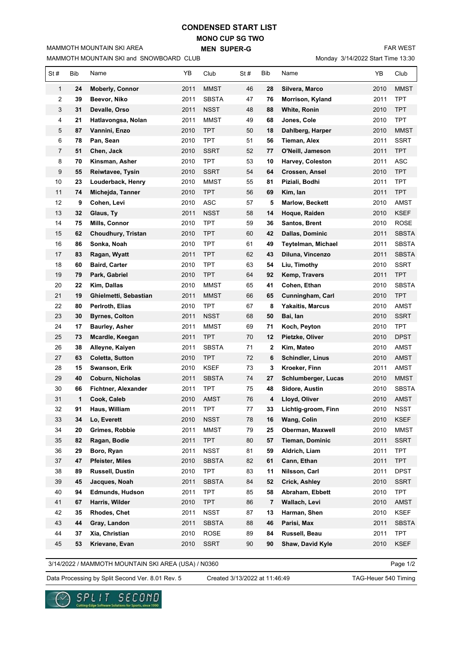## **MONO CUP SG TWO CONDENSED START LIST**

**MEN SUPER-G** 

MAMMOTH MOUNTAIN SKI and SNOWBOARD CLUB

MAMMOTH MOUNTAIN SKI AREA

FAR WEST

Monday 3/14/2022 Start Time 13:30

| St#          | Bib | Name                   | YΒ   | Club         | St# | Bib | Name                    | YB   | Club         |
|--------------|-----|------------------------|------|--------------|-----|-----|-------------------------|------|--------------|
| $\mathbf{1}$ | 24  | <b>Moberly, Connor</b> | 2011 | <b>MMST</b>  | 46  | 28  | Silvera, Marco          | 2010 | <b>MMST</b>  |
| 2            | 39  | Beevor, Niko           | 2011 | <b>SBSTA</b> | 47  | 76  | Morrison, Kyland        | 2011 | <b>TPT</b>   |
| 3            | 31  | Devalle, Orso          | 2011 | <b>NSST</b>  | 48  | 88  | White, Ronin            | 2010 | <b>TPT</b>   |
| 4            | 21  | Hatlavongsa, Nolan     | 2011 | MMST         | 49  | 68  | Jones, Cole             | 2010 | <b>TPT</b>   |
| 5            | 87  | Vannini, Enzo          | 2010 | <b>TPT</b>   | 50  | 18  | Dahlberg, Harper        | 2010 | <b>MMST</b>  |
| 6            | 78  | Pan, Sean              | 2010 | <b>TPT</b>   | 51  | 56  | Tieman, Alex            | 2011 | <b>SSRT</b>  |
| 7            | 51  | Chen, Jack             | 2010 | <b>SSRT</b>  | 52  | 77  | O'Neill, Jameson        | 2011 | <b>TPT</b>   |
| 8            | 70  | Kinsman, Asher         | 2010 | <b>TPT</b>   | 53  | 10  | Harvey, Coleston        | 2011 | <b>ASC</b>   |
| 9            | 55  | Reiwtavee, Tysin       | 2010 | <b>SSRT</b>  | 54  | 64  | Crossen, Ansel          | 2010 | <b>TPT</b>   |
| 10           | 23  | Louderback, Henry      | 2010 | <b>MMST</b>  | 55  | 81  | Piziali, Bodhi          | 2011 | <b>TPT</b>   |
| 11           | 74  | Michejda, Tanner       | 2010 | <b>TPT</b>   | 56  | 69  | Kim, Ian                | 2011 | <b>TPT</b>   |
| 12           | 9   | Cohen, Levi            | 2010 | ASC          | 57  | 5   | <b>Marlow, Beckett</b>  | 2010 | AMST         |
| 13           | 32  | Glaus, Ty              | 2011 | <b>NSST</b>  | 58  | 14  | Hoque, Raiden           | 2010 | <b>KSEF</b>  |
| 14           | 75  | Mills, Connor          | 2010 | TPT          | 59  | 36  | Santos, Brent           | 2010 | <b>ROSE</b>  |
| 15           | 62  | Choudhury, Tristan     | 2010 | TPT          | 60  | 42  | Dallas, Dominic         | 2011 | <b>SBSTA</b> |
| 16           | 86  | Sonka, Noah            | 2010 | TPT          | 61  | 49  | Teytelman, Michael      | 2011 | <b>SBSTA</b> |
| 17           | 83  | Ragan, Wyatt           | 2011 | TPT          | 62  | 43  | Diluna, Vincenzo        | 2011 | <b>SBSTA</b> |
| 18           | 60  | <b>Baird, Carter</b>   | 2010 | TPT          | 63  | 54  | Liu, Timothy            | 2010 | <b>SSRT</b>  |
| 19           | 79  | Park, Gabriel          | 2010 | <b>TPT</b>   | 64  | 92  | Kemp, Travers           | 2011 | <b>TPT</b>   |
| 20           | 22  | Kim, Dallas            | 2010 | <b>MMST</b>  | 65  | 41  | Cohen, Ethan            | 2010 | <b>SBSTA</b> |
| 21           | 19  | Ghielmetti, Sebastian  | 2011 | <b>MMST</b>  | 66  | 65  | Cunningham, Carl        | 2010 | <b>TPT</b>   |
| 22           | 80  | Perlroth, Elias        | 2010 | TPT          | 67  | 8   | <b>Yakaitis, Marcus</b> | 2010 | <b>AMST</b>  |
| 23           | 30  | <b>Byrnes, Colton</b>  | 2011 | <b>NSST</b>  | 68  | 50  | Bai, Ian                | 2010 | <b>SSRT</b>  |
| 24           | 17  | <b>Baurley, Asher</b>  | 2011 | <b>MMST</b>  | 69  | 71  | Koch, Peyton            | 2010 | TPT          |
| 25           | 73  | Mcardle, Keegan        | 2011 | TPT          | 70  | 12  | Pietzke, Oliver         | 2010 | <b>DPST</b>  |
| 26           | 38  | Alleyne, Kaiyen        | 2011 | <b>SBSTA</b> | 71  | 2   | Kim, Mateo              | 2010 | AMST         |
| 27           | 63  | <b>Coletta, Sutton</b> | 2010 | TPT          | 72  | 6   | Schindler, Linus        | 2010 | AMST         |
| 28           | 15  | Swanson, Erik          | 2010 | <b>KSEF</b>  | 73  | 3   | Kroeker, Finn           | 2011 | AMST         |
| 29           | 40  | Coburn, Nicholas       | 2011 | <b>SBSTA</b> | 74  | 27  | Schlumberger, Lucas     | 2010 | MMST         |
| 30           | 66  | Fichtner, Alexander    | 2011 | <b>TPT</b>   | 75  | 48  | Sidore, Austin          | 2010 | <b>SBSTA</b> |
| 31           | 1   | Cook, Caleb            | 2010 | <b>AMST</b>  | 76  | 4   | Lloyd, Oliver           | 2010 | AMST         |
| 32           | 91  | Haus, William          | 2011 | <b>TPT</b>   | 77  | 33  | Lichtig-groom, Finn     | 2010 | <b>NSST</b>  |
| 33           | 34  | Lo, Everett            | 2010 | <b>NSST</b>  | 78  | 16  | Wang, Colin             | 2010 | <b>KSEF</b>  |
| 34           | 20  | Grimes, Robbie         | 2011 | <b>MMST</b>  | 79  | 25  | Oberman, Maxwell        | 2010 | <b>MMST</b>  |
| 35           | 82  | Ragan, Bodie           | 2011 | <b>TPT</b>   | 80  | 57  | Tieman, Dominic         | 2011 | <b>SSRT</b>  |
| 36           | 29  | Boro, Ryan             | 2011 | <b>NSST</b>  | 81  | 59  | Aldrich, Liam           | 2011 | <b>TPT</b>   |
| 37           | 47  | <b>Pfeister, Miles</b> | 2010 | <b>SBSTA</b> | 82  | 61  | Cann, Ethan             | 2011 | <b>TPT</b>   |
| 38           | 89  | Russell, Dustin        | 2010 | <b>TPT</b>   | 83  | 11  | Nilsson, Carl           | 2011 | <b>DPST</b>  |
| 39           | 45  | Jacques, Noah          | 2011 | <b>SBSTA</b> | 84  | 52  | <b>Crick, Ashley</b>    | 2010 | <b>SSRT</b>  |
| 40           | 94  | <b>Edmunds, Hudson</b> | 2011 | <b>TPT</b>   | 85  | 58  | Abraham, Ebbett         | 2010 | <b>TPT</b>   |
| 41           | 67  | Harris, Wilder         | 2010 | <b>TPT</b>   | 86  | 7   | Wallach, Levi           | 2010 | AMST         |
| 42           | 35  | Rhodes, Chet           | 2011 | <b>NSST</b>  | 87  | 13  | Harman, Shen            | 2010 | KSEF         |
| 43           | 44  | Gray, Landon           | 2011 | <b>SBSTA</b> | 88  | 46  | Parisi, Max             | 2011 | <b>SBSTA</b> |
| 44           | 37  | Xia, Christian         | 2010 | ROSE         | 89  | 84  | Russell, Beau           | 2011 | <b>TPT</b>   |
| 45           | 53  | Krievane, Evan         | 2010 | <b>SSRT</b>  | 90  | 90  | Shaw, David Kyle        | 2010 | <b>KSEF</b>  |

3/14/2022 / MAMMOTH MOUNTAIN SKI AREA (USA) / N0360

Page 1/2

Data Processing by Split Second Ver. 8.01 Rev. 5 Created 3/13/2022 at 11:46:49 TAG-Heuer 540 Timing

Created 3/13/2022 at 11:46:49